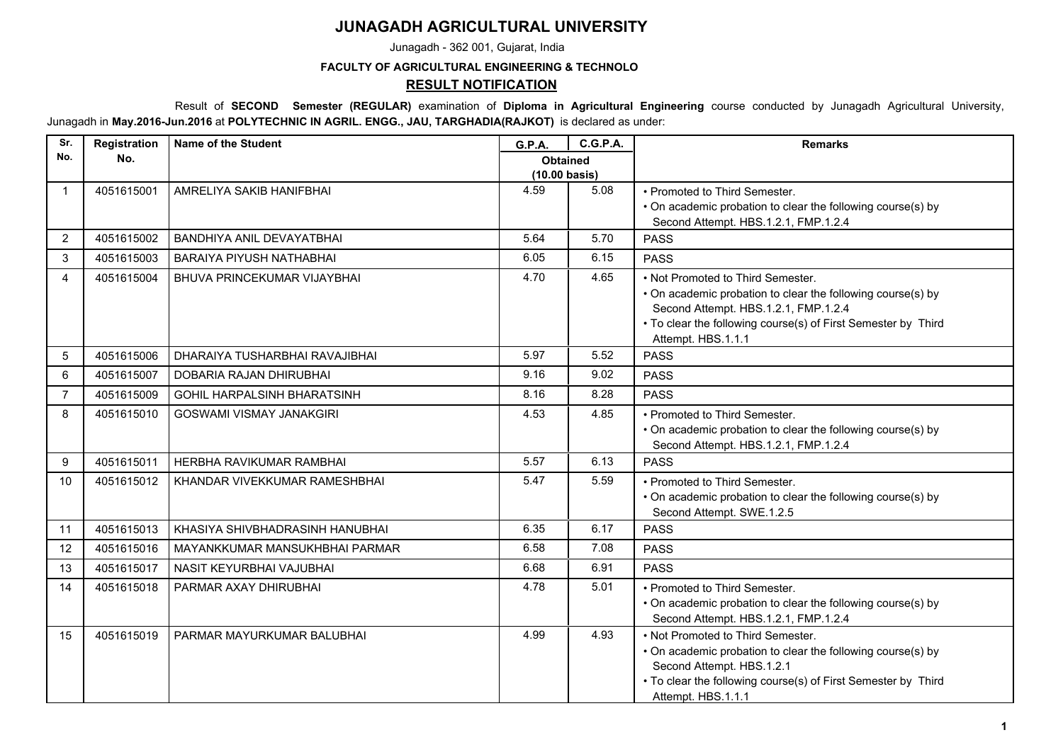## **JUNAGADH AGRICULTURAL UNIVERSITY**

Junagadh - 362 001, Gujarat, India

## **FACULTY OF AGRICULTURAL ENGINEERING & TECHNOLO**

## **RESULT NOTIFICATION**

 Result of **SECOND Semester (REGULAR)** examination of **Diploma in Agricultural Engineering** course conducted by Junagadh Agricultural University, Junagadh in **May.2016-Jun.2016** at **POLYTECHNIC IN AGRIL. ENGG., JAU, TARGHADIA(RAJKOT)** is declared as under:

| Sr.            | Registration | <b>Name of the Student</b>         | <b>G.P.A.</b>                    | <b>C.G.P.A.</b> | <b>Remarks</b>                                                                                                                                                                                                                  |
|----------------|--------------|------------------------------------|----------------------------------|-----------------|---------------------------------------------------------------------------------------------------------------------------------------------------------------------------------------------------------------------------------|
| No.            | No.          |                                    | <b>Obtained</b><br>(10.00 basis) |                 |                                                                                                                                                                                                                                 |
| $\mathbf 1$    | 4051615001   | AMRELIYA SAKIB HANIFBHAI           | 4.59                             | 5.08            | • Promoted to Third Semester.<br>• On academic probation to clear the following course(s) by<br>Second Attempt. HBS.1.2.1, FMP.1.2.4                                                                                            |
| 2              | 4051615002   | BANDHIYA ANIL DEVAYATBHAI          | 5.64                             | 5.70            | <b>PASS</b>                                                                                                                                                                                                                     |
| 3              | 4051615003   | BARAIYA PIYUSH NATHABHAI           | 6.05                             | 6.15            | <b>PASS</b>                                                                                                                                                                                                                     |
| 4              | 4051615004   | BHUVA PRINCEKUMAR VIJAYBHAI        | 4.70                             | 4.65            | • Not Promoted to Third Semester.<br>• On academic probation to clear the following course(s) by<br>Second Attempt. HBS.1.2.1, FMP.1.2.4<br>• To clear the following course(s) of First Semester by Third<br>Attempt. HBS.1.1.1 |
| 5              | 4051615006   | DHARAIYA TUSHARBHAI RAVAJIBHAI     | 5.97                             | 5.52            | <b>PASS</b>                                                                                                                                                                                                                     |
| 6              | 4051615007   | DOBARIA RAJAN DHIRUBHAI            | 9.16                             | 9.02            | <b>PASS</b>                                                                                                                                                                                                                     |
| $\overline{7}$ | 4051615009   | <b>GOHIL HARPALSINH BHARATSINH</b> | 8.16                             | 8.28            | <b>PASS</b>                                                                                                                                                                                                                     |
| 8              | 4051615010   | <b>GOSWAMI VISMAY JANAKGIRI</b>    | 4.53                             | 4.85            | • Promoted to Third Semester.<br>• On academic probation to clear the following course(s) by<br>Second Attempt. HBS.1.2.1, FMP.1.2.4                                                                                            |
| 9              | 4051615011   | HERBHA RAVIKUMAR RAMBHAI           | 5.57                             | 6.13            | <b>PASS</b>                                                                                                                                                                                                                     |
| 10             | 4051615012   | KHANDAR VIVEKKUMAR RAMESHBHAI      | 5.47                             | 5.59            | • Promoted to Third Semester.<br>• On academic probation to clear the following course(s) by<br>Second Attempt. SWE.1.2.5                                                                                                       |
| 11             | 4051615013   | KHASIYA SHIVBHADRASINH HANUBHAI    | 6.35                             | 6.17            | <b>PASS</b>                                                                                                                                                                                                                     |
| 12             | 4051615016   | MAYANKKUMAR MANSUKHBHAI PARMAR     | 6.58                             | 7.08            | <b>PASS</b>                                                                                                                                                                                                                     |
| 13             | 4051615017   | NASIT KEYURBHAI VAJUBHAI           | 6.68                             | 6.91            | <b>PASS</b>                                                                                                                                                                                                                     |
| 14             | 4051615018   | PARMAR AXAY DHIRUBHAI              | 4.78                             | 5.01            | • Promoted to Third Semester.<br>• On academic probation to clear the following course(s) by<br>Second Attempt. HBS.1.2.1, FMP.1.2.4                                                                                            |
| 15             | 4051615019   | PARMAR MAYURKUMAR BALUBHAI         | 4.99                             | 4.93            | • Not Promoted to Third Semester.<br>• On academic probation to clear the following course(s) by<br>Second Attempt. HBS.1.2.1<br>• To clear the following course(s) of First Semester by Third<br>Attempt. HBS.1.1.1            |